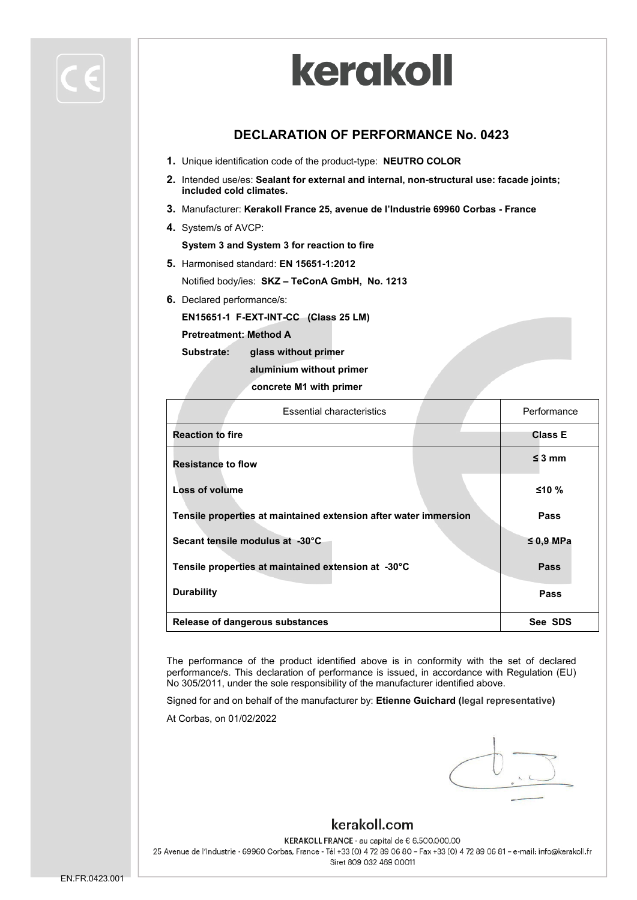#### **DECLARATION OF PERFORMANCE No. 0423**

- **1.** Unique identification code of the product-type: **NEUTRO COLOR**
- **2.** Intended use/es: **Sealant for external and internal, non-structural use: facade joints; included cold climates.**
- **3.** Manufacturer: **Kerakoll France 25, avenue de l'Industrie 69960 Corbas - France**
- **4.** System/s of AVCP:

**System 3 and System 3 for reaction to fire**

**5.** Harmonised standard: **EN 15651-1:2012**

Notified body/ies: **SKZ – TeConA GmbH, No. 1213**

**6.** Declared performance/s:

**EN15651-1 F-EXT-INT-CC (Class 25 LM)**

**Pretreatment: Method A** 

**Substrate: glass without primer**

**aluminium without primer**

**concrete M1 with primer**

| <b>Essential characteristics</b>                                 |  | Performance    |
|------------------------------------------------------------------|--|----------------|
| <b>Reaction to fire</b>                                          |  | <b>Class E</b> |
| <b>Resistance to flow</b>                                        |  | $\leq$ 3 mm    |
| <b>Loss of volume</b>                                            |  | ≤10%           |
| Tensile properties at maintained extension after water immersion |  | Pass           |
| Secant tensile modulus at -30°C                                  |  | $\leq$ 0,9 MPa |
| Tensile properties at maintained extension at -30°C              |  | Pass           |
| <b>Durability</b>                                                |  | Pass           |
| Release of dangerous substances                                  |  | See SDS        |

The performance of the product identified above is in conformity with the set of declared performance/s. This declaration of performance is issued, in accordance with Regulation (EU) No 305/2011, under the sole responsibility of the manufacturer identified above.

Signed for and on behalf of the manufacturer by: **Etienne Guichard (legal representative)**

At Corbas, on 01/02/2022

#### kerakoll.com

KERAKOLL FRANCE - au capital de € 6.500.000,00 25 Avenue de l'Industrie - 69960 Corbas, France - Tél +33 (0) 4 72 89 06 80 - Fax +33 (0) 4 72 89 06 81 - e-mail: info@kerakoll.fr Siret 809 032 469 00011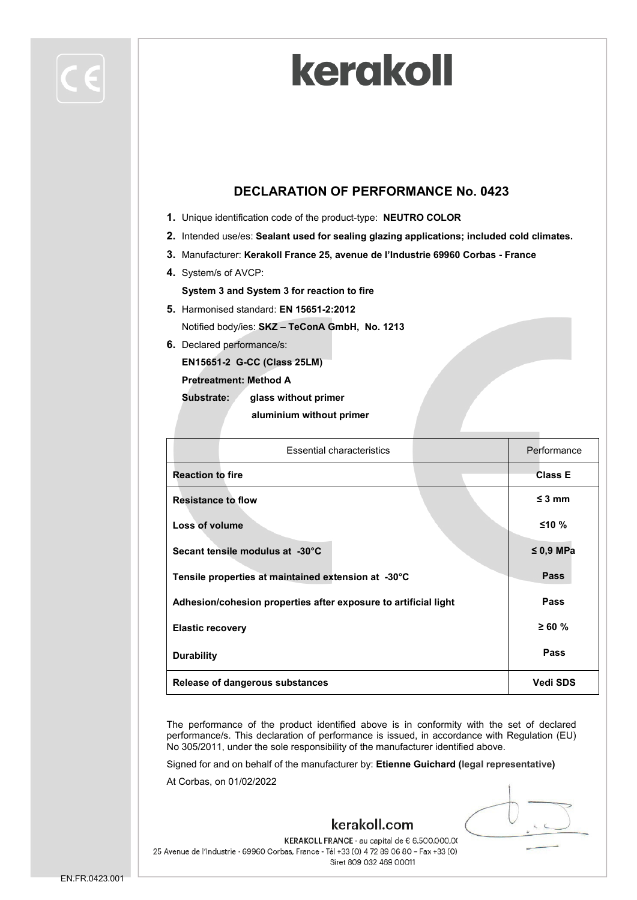

#### **DECLARATION OF PERFORMANCE No. 0423**

- **1.** Unique identification code of the product-type: **NEUTRO COLOR**
- **2.** Intended use/es: **Sealant used for sealing glazing applications; included cold climates.**
- **3.** Manufacturer: **Kerakoll France 25, avenue de l'Industrie 69960 Corbas - France**
- **4.** System/s of AVCP:

**System 3 and System 3 for reaction to fire**

- **5.** Harmonised standard: **EN 15651-2:2012** Notified body/ies: **SKZ – TeConA GmbH, No. 1213**
- **6.** Declared performance/s:

**EN15651-2 G-CC (Class 25LM)**

**Pretreatment: Method A** 

**Substrate: glass without primer**

 **aluminium without primer**

| <b>Essential characteristics</b>                                |  | Performance     |
|-----------------------------------------------------------------|--|-----------------|
| <b>Reaction to fire</b>                                         |  | <b>Class E</b>  |
| <b>Resistance to flow</b>                                       |  | $\leq$ 3 mm     |
| Loss of volume                                                  |  | $≤10%$          |
| Secant tensile modulus at -30°C                                 |  | $\leq 0.9$ MPa  |
| Tensile properties at maintained extension at -30°C             |  | <b>Pass</b>     |
| Adhesion/cohesion properties after exposure to artificial light |  | Pass            |
| <b>Elastic recovery</b>                                         |  | $\geq 60 \%$    |
| <b>Durability</b>                                               |  | Pass            |
| Release of dangerous substances                                 |  | <b>Vedi SDS</b> |

The performance of the product identified above is in conformity with the set of declared performance/s. This declaration of performance is issued, in accordance with Regulation (EU) No 305/2011, under the sole responsibility of the manufacturer identified above.

kerakoll.com

Signed for and on behalf of the manufacturer by: **Etienne Guichard (legal representative)**

At Corbas, on 01/02/2022

KERAKOLL FRANCE - au capital de € 6.500.000,00 25 Avenue de l'Industrie - 69960 Corbas, France - Tél +33 (0) 4 72 89 06 80 - Fax +33 (0) Siret 809 032 469 00011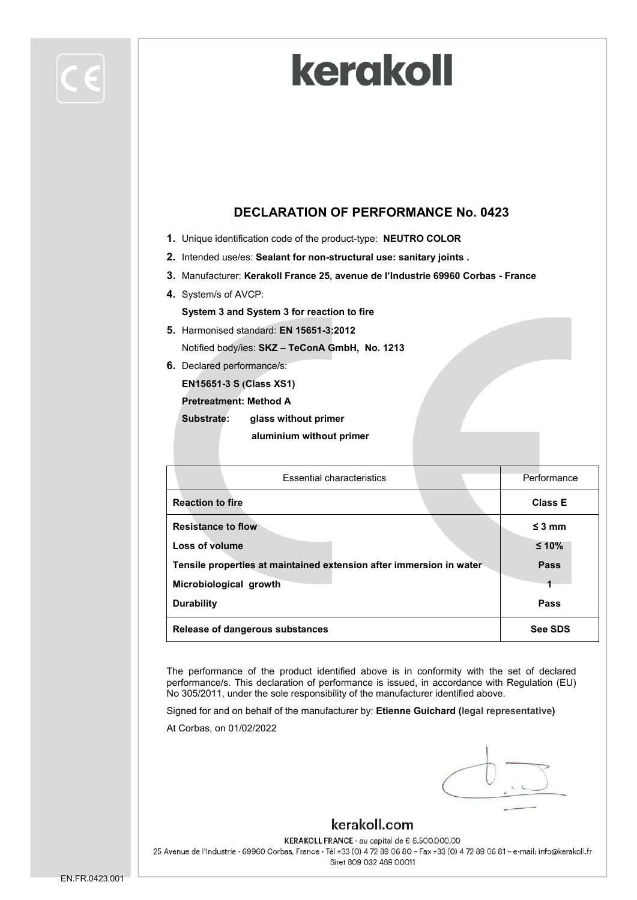

#### **DECLARATION OF PERFORMANCE No. 0423**

- **1.** Unique identification code of the product-type: **NEUTRO COLOR**
- **2.** Intended use/es: **Sealant for non-structural use: sanitary joints .**
- **3.** Manufacturer: **Kerakoll France 25, avenue de l'Industrie 69960 Corbas - France**
- **4.** System/s of AVCP:

**System 3 and System 3 for reaction to fire**

- **5.** Harmonised standard: **EN 15651-3:2012** Notified body/ies: **SKZ – TeConA GmbH, No. 1213**
- **6.** Declared performance/s:

**EN15651-3 S (Class XS1)**

**Pretreatment: Method A** 

**Substrate: glass without primer aluminium without primer**

| <b>Essential characteristics</b>                                    | Performance    |
|---------------------------------------------------------------------|----------------|
| <b>Reaction to fire</b>                                             | <b>Class E</b> |
| <b>Resistance to flow</b>                                           | $\leq$ 3 mm    |
| Loss of volume                                                      | $≤ 10%$        |
| Tensile properties at maintained extension after immersion in water | Pass           |
| Microbiological growth                                              |                |
| <b>Durability</b>                                                   | Pass           |
| Release of dangerous substances                                     | See SDS        |

The performance of the product identified above is in conformity with the set of declared performance/s. This declaration of performance is issued, in accordance with Regulation (EU) No 305/2011, under the sole responsibility of the manufacturer identified above.

Signed for and on behalf of the manufacturer by: **Etienne Guichard (legal representative)**

At Corbas, on 01/02/2022

### kerakoll.com

KERAKOLL FRANCE - au capital de € 6.500.000,00 25 Avenue de l'Industrie - 69960 Corbas, France - Tél +33 (0) 4 72 89 06 80 - Fax +33 (0) 4 72 89 06 81 - e-mail: info@kerakoll.fr Siret 809 032 469 00011